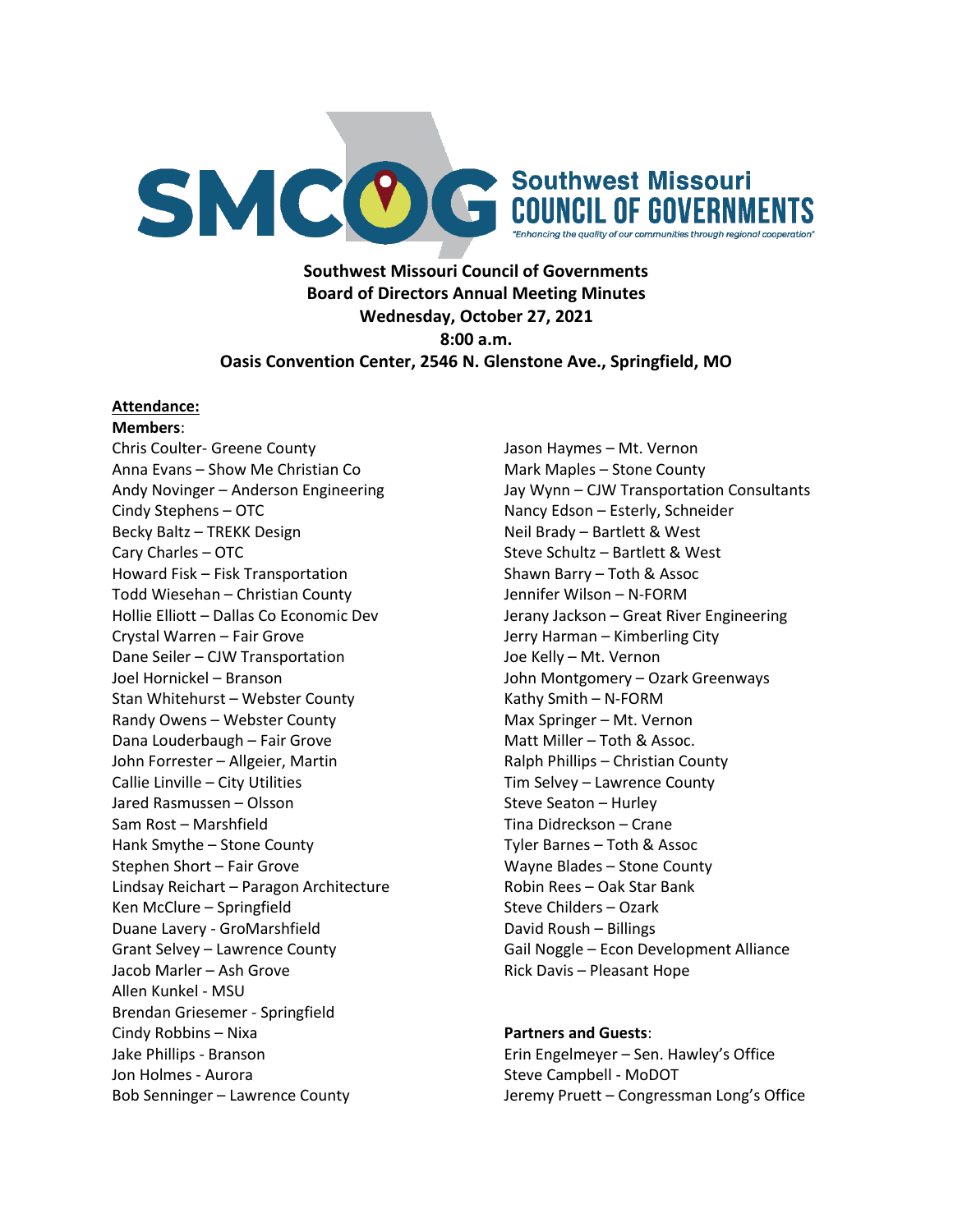

**Southwest Missouri Council of Governments Board of Directors Annual Meeting Minutes Wednesday, October 27, 2021 8:00 a.m. Oasis Convention Center, 2546 N. Glenstone Ave., Springfield, MO**

#### **Attendance:**

**Members**: Chris Coulter- Greene County Anna Evans – Show Me Christian Co Andy Novinger – Anderson Engineering Cindy Stephens – OTC Becky Baltz – TREKK Design Cary Charles – OTC Howard Fisk – Fisk Transportation Todd Wiesehan – Christian County Hollie Elliott – Dallas Co Economic Dev Crystal Warren – Fair Grove Dane Seiler – CJW Transportation Joel Hornickel – Branson Stan Whitehurst – Webster County Randy Owens – Webster County Dana Louderbaugh – Fair Grove John Forrester – Allgeier, Martin Callie Linville – City Utilities Jared Rasmussen – Olsson Sam Rost – Marshfield Hank Smythe – Stone County Stephen Short – Fair Grove Lindsay Reichart – Paragon Architecture Ken McClure – Springfield Duane Lavery - GroMarshfield Grant Selvey – Lawrence County Jacob Marler – Ash Grove Allen Kunkel - MSU Brendan Griesemer - Springfield Cindy Robbins – Nixa Jake Phillips - Branson Jon Holmes - Aurora Bob Senninger – Lawrence County

Jason Haymes – Mt. Vernon Mark Maples – Stone County Jay Wynn – CJW Transportation Consultants Nancy Edson – Esterly, Schneider Neil Brady – Bartlett & West Steve Schultz – Bartlett & West Shawn Barry – Toth & Assoc Jennifer Wilson – N-FORM Jerany Jackson – Great River Engineering Jerry Harman – Kimberling City Joe Kelly – Mt. Vernon John Montgomery – Ozark Greenways Kathy Smith – N-FORM Max Springer – Mt. Vernon Matt Miller – Toth & Assoc. Ralph Phillips – Christian County Tim Selvey – Lawrence County Steve Seaton – Hurley Tina Didreckson – Crane Tyler Barnes – Toth & Assoc Wayne Blades – Stone County Robin Rees – Oak Star Bank Steve Childers – Ozark David Roush – Billings Gail Noggle – Econ Development Alliance Rick Davis – Pleasant Hope

#### **Partners and Guests**:

Erin Engelmeyer – Sen. Hawley's Office Steve Campbell - MoDOT Jeremy Pruett – Congressman Long's Office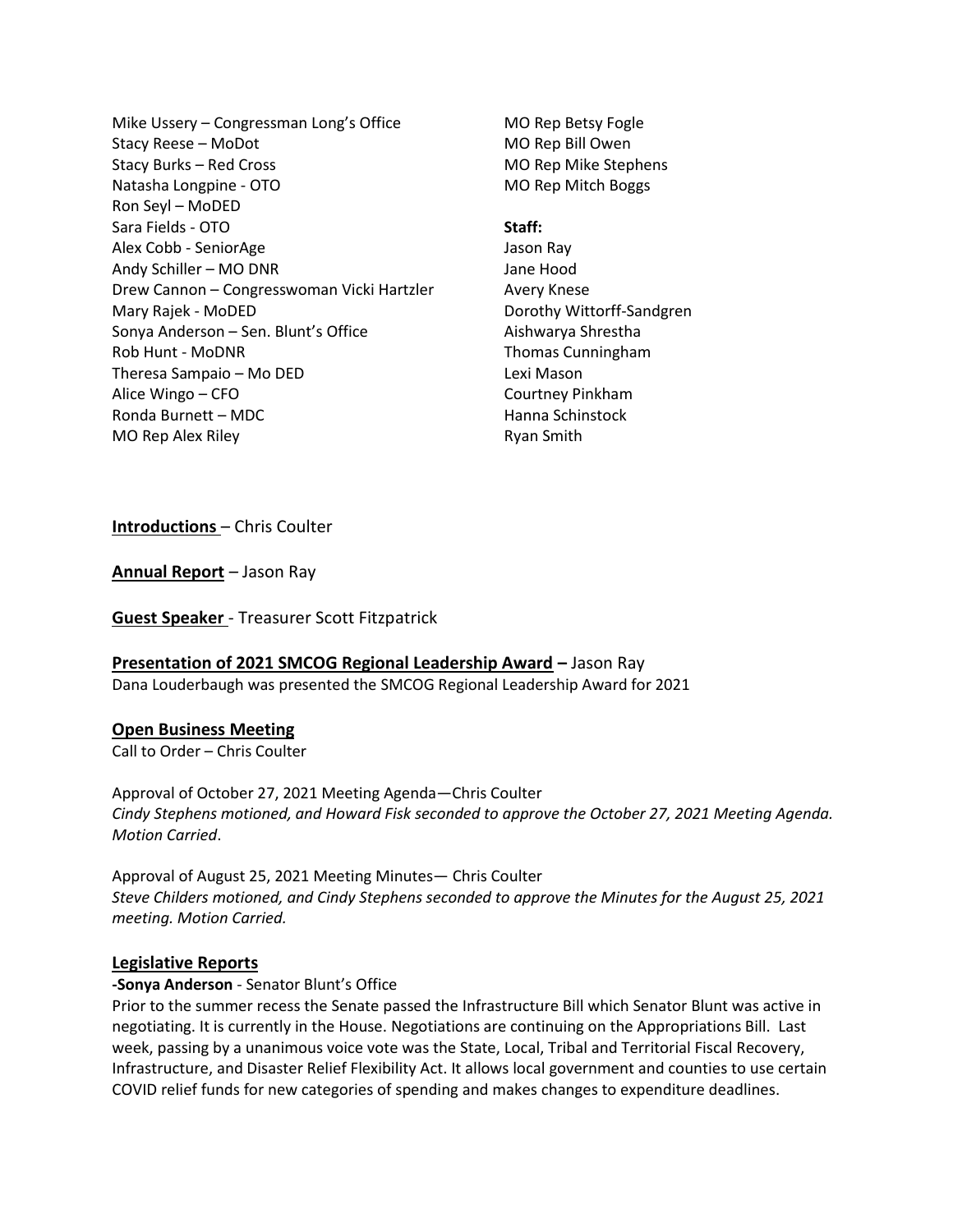Mike Ussery – Congressman Long's Office Stacy Reese – MoDot Stacy Burks – Red Cross Natasha Longpine - OTO Ron Seyl – MoDED Sara Fields - OTO Alex Cobb - SeniorAge Andy Schiller – MO DNR Drew Cannon – Congresswoman Vicki Hartzler Mary Rajek - MoDED Sonya Anderson – Sen. Blunt's Office Rob Hunt - MoDNR Theresa Sampaio – Mo DED Alice Wingo – CFO Ronda Burnett – MDC MO Rep Alex Riley

MO Rep Betsy Fogle MO Rep Bill Owen MO Rep Mike Stephens MO Rep Mitch Boggs

#### **Staff:**

Jason Ray Jane Hood Avery Knese Dorothy Wittorff-Sandgren Aishwarya Shrestha Thomas Cunningham Lexi Mason Courtney Pinkham Hanna Schinstock Ryan Smith

**Introductions** – Chris Coulter

**Annual Report** *–* Jason Ray

**Guest Speaker** - Treasurer Scott Fitzpatrick

# **Presentation of 2021 SMCOG Regional Leadership Award –** Jason Ray

Dana Louderbaugh was presented the SMCOG Regional Leadership Award for 2021

#### **Open Business Meeting**

Call to Order – Chris Coulter

Approval of October 27, 2021 Meeting Agenda—Chris Coulter *Cindy Stephens motioned, and Howard Fisk seconded to approve the October 27, 2021 Meeting Agenda. Motion Carried*.

Approval of August 25, 2021 Meeting Minutes— Chris Coulter *Steve Childers motioned, and Cindy Stephens seconded to approve the Minutes for the August 25, 2021 meeting. Motion Carried.*

#### **Legislative Reports**

#### **-Sonya Anderson** - Senator Blunt's Office

Prior to the summer recess the Senate passed the Infrastructure Bill which Senator Blunt was active in negotiating. It is currently in the House. Negotiations are continuing on the Appropriations Bill. Last week, passing by a unanimous voice vote was the State, Local, Tribal and Territorial Fiscal Recovery, Infrastructure, and Disaster Relief Flexibility Act. It allows local government and counties to use certain COVID relief funds for new categories of spending and makes changes to expenditure deadlines.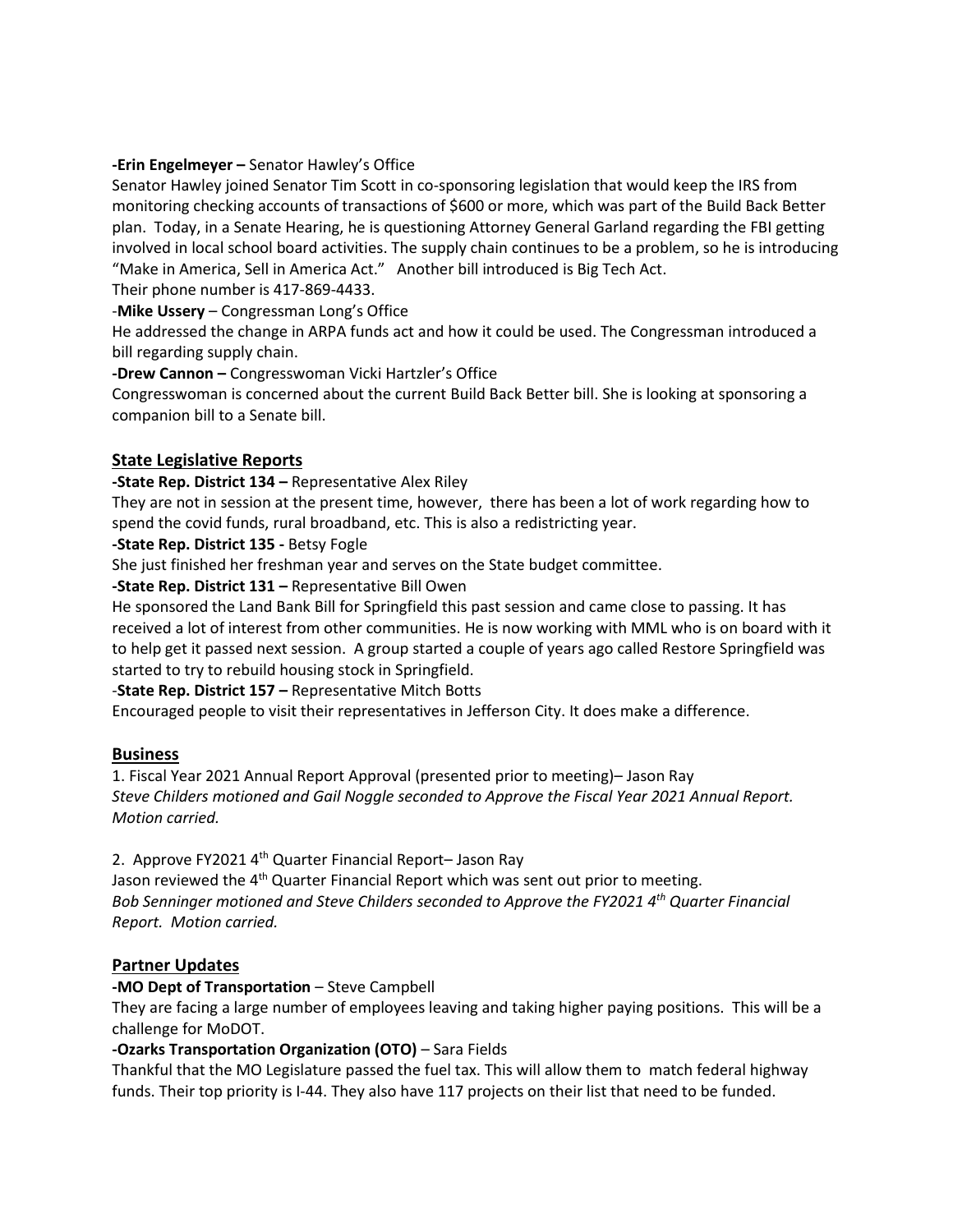#### **-Erin Engelmeyer –** Senator Hawley's Office

Senator Hawley joined Senator Tim Scott in co-sponsoring legislation that would keep the IRS from monitoring checking accounts of transactions of \$600 or more, which was part of the Build Back Better plan. Today, in a Senate Hearing, he is questioning Attorney General Garland regarding the FBI getting involved in local school board activities. The supply chain continues to be a problem, so he is introducing "Make in America, Sell in America Act." Another bill introduced is Big Tech Act.

Their phone number is 417-869-4433.

-**Mike Ussery** – Congressman Long's Office

He addressed the change in ARPA funds act and how it could be used. The Congressman introduced a bill regarding supply chain.

**-Drew Cannon –** Congresswoman Vicki Hartzler's Office

Congresswoman is concerned about the current Build Back Better bill. She is looking at sponsoring a companion bill to a Senate bill.

# **State Legislative Reports**

**-State Rep. District 134 –** Representative Alex Riley

They are not in session at the present time, however, there has been a lot of work regarding how to spend the covid funds, rural broadband, etc. This is also a redistricting year.

### **-State Rep. District 135 -** Betsy Fogle

She just finished her freshman year and serves on the State budget committee.

### **-State Rep. District 131 –** Representative Bill Owen

He sponsored the Land Bank Bill for Springfield this past session and came close to passing. It has received a lot of interest from other communities. He is now working with MML who is on board with it to help get it passed next session. A group started a couple of years ago called Restore Springfield was started to try to rebuild housing stock in Springfield.

#### -**State Rep. District 157 –** Representative Mitch Botts

Encouraged people to visit their representatives in Jefferson City. It does make a difference.

# **Business**

1. Fiscal Year 2021 Annual Report Approval (presented prior to meeting)– Jason Ray *Steve Childers motioned and Gail Noggle seconded to Approve the Fiscal Year 2021 Annual Report. Motion carried.*

2. Approve FY2021 4<sup>th</sup> Quarter Financial Report- Jason Ray

Jason reviewed the 4<sup>th</sup> Quarter Financial Report which was sent out prior to meeting. *Bob Senninger motioned and Steve Childers seconded to Approve the FY2021 4th Quarter Financial Report. Motion carried.* 

# **Partner Updates**

#### **-MO Dept of Transportation** – Steve Campbell

They are facing a large number of employees leaving and taking higher paying positions. This will be a challenge for MoDOT.

# **-Ozarks Transportation Organization (OTO)** – Sara Fields

Thankful that the MO Legislature passed the fuel tax. This will allow them to match federal highway funds. Their top priority is I-44. They also have 117 projects on their list that need to be funded.